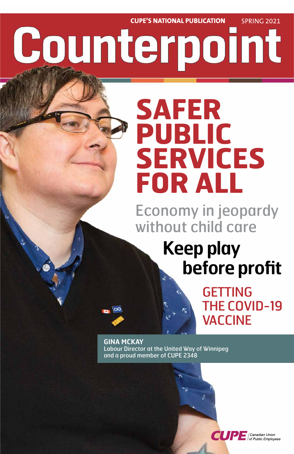**CUPE'S NATIONAL PUBLICATION** SPRING 2021 Counterpoint

# **SAFER PUBLIC SERVICES FOR ALL**

Economy in jeopardy without child care

## **Keep play before profit**

GETTING THE COVID-19 VACCINE

### **GINA MCKAY** Labour Director at the United Way of Winnipeg and a proud member of CUPE 2348

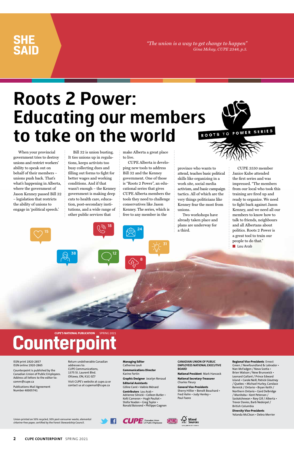**2 CUPE COUNTERPOINT** SPRING 2021

*"The union is a way to get change to happen" Gina Mckay, CUPE 2348, p.5.*

### **SHE SAID**

Union-printed on 50% recycled, 30% post-consumer waste, elemental chlorine-free paper, certified by the Forest Stewardship Council.





ISSN print 1920-2857 ISSN online 1920-2865

Counterpoint is published by the Canadian Union of Public Employees. Address all letters to the editor to: comm@cupe.ca

Publications Mail Agreement Number 40005741

Return undeliverable Canadian addresses to: CUPE Communications, 1375 St. Laurent Blvd. Ottawa, ON, K1G 0Z7

Visit CUPE's website at cupe.ca or contact us at cupemail@cupe.ca

**Managing Editor** Catherine Louli

**Communications Director** Karine Fortin

**Graphic Designer** Jocelyn Renaud

**Editorial Assistants** Céline Carré • Valérie Ménard

**Contributors** Lou Arab • Adrienne Silnicki • Colleen Butler • Kelti Cameron • Hugh Pouliot • Stella Yeadon • Greg Taylor • Ronald Boisrond • Philippe Gagnon

**CANADIAN UNION OF PUBLIC EMPLOYEES NATIONAL EXECUTIVE BOARD**

**National President** Mark Hancock

**National Secretary-Treasurer** Charles Fleury

**General Vice-Presidents** Sherry Hillier • Benoît Bouchard • Fred Hahn • Judy Henley • Paul Faoro

#### **Regional Vice-Presidents** Ernest Green / Newfoundland & Labrador • Nan McFadgen / Nova Scotia • Brien Watson / New Brunswick • Leonard Gallant / Prince Edward Island • Carole Neill, Patrick Gloutney / Quebec • Michael Hurley, Candace Rennick / Ontario • Bryan Keith / Northern Ontario • Gord Delbridge / Manitoba • Kent Peterson / Saskatchewan • Rory Gill / Alberta •

CUPE 3550 member Janice Kube attended the first series and was impressed. "The members from our local who took this training are fired up and ready to organize. We need to fight back against Jason Kenney, and we need all our members to know how to talk to friends, neighbours and all Albertans about politics. Roots 2 Power is a great tool to train our people to do that." ■ **Lou Arab** 

Trevor Davies, Barb Nederpel /

British Columbia **Diversity Vice-Presidents** Yolanda McClean • Debra Merrier

When your provincial government tries to destroy unions and restrict workers' ability to speak out on behalf of their members – unions push back. That's what's happening in Alberta, where the government of Jason Kenney passed Bill 32 – legislation that restricts the ability of unions to engage in 'political speech.'

Bill 32 is union busting. It ties unions up in regulations, keeps activists too busy collecting dues and filling out forms to fight for better wages and working conditions. And if that wasn't enough – the Kenney government is making deep cuts to health care, education, post-secondary institutions, and a wide range of other public services that

make Alberta a great place to live.

CUPE Alberta is developing new tools to address Bill 32 and the Kenney government. One of those is "Roots 2 Power", an educational series that gives CUPE Alberta members the tools they need to challenge conservatives like Jason Kenney. The series, which is free to any member in the

province who wants to attend, teaches basic political skills like organizing in a work site, social media activism, and basic campaign tactics. All of which are the very things politicians like Kenney fear the most from unions.

Two workshops have already taken place and plans are underway for a third.

### **Roots 2 Power: Educating our members**  ROOTS TO POWER SERIES **to take on the world**

15

38

## **Counterpoint**

18

24

12

31

8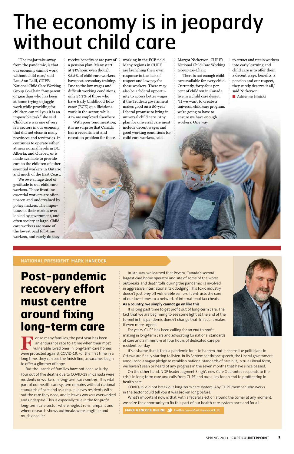#### **NATIONAL PRESIDENT** MARK HANCOCK

**Post-pandemic recovery effort must centre around fixing long-term care** 

**For so many families, the past year has been** an endurance race to a time when their most vulnerable loved ones in long-term care homes were protected against COVID-19. For the first time in a long time, they can see the finish line, as vaccines begin to offer a glimmer of hope.

But thousands of families have not been so lucky. Four out of five deaths due to COVID-19 in Canada were residents or workers in long-term care centres. This vital part of our health care system remains without national standards of care and as a result, leaves residents without the care they need, and it leaves workers overworked and underpaid. This is especially true in the for-profit long-term care sector, where neglect runs rampant and where research shows outbreaks were lengthier and much deadlier.

In January, we learned that Revera, Canada's secondlargest care home operator and site of some of the worst outbreaks and death tolls during the pandemic, is involved in aggressive international tax dodging. This toxic industry doesn't just prey off vulnerable seniors. It entrusts the care of our loved ones to a network of international tax cheats.

#### **As a country, we simply cannot go on like this.**

It is long past time to get profit out of long-term care. The fact that we are beginning to see some light at the end of the tunnel in this pandemic doesn't change that. In fact, it makes it even more urgent.

For years, CUPE has been calling for an end to profit-



making in long-term care and advocating for national standards of care and a minimum of four hours of dedicated care per resident per day.

It's a shame that it took a pandemic for it to happen, but it seems like politicians in Ottawa are finally starting to listen. In its September throne speech, the Liberal government announced a vague pledge to establish national standards of care but, in true Liberal form, we haven't seen or heard of any progress in the seven months that have since passed.

On the other hand, NDP leader Jagmeet Singh's new Care Guarantee responds to the crisis in long-term care and calls from CUPE and our allies for an end to profiteering in health care.

COVID-19 did not break our long-term care system. Any CUPE member who works in the sector could tell you it was broken long before.

What's important now is that, with a federal election around the corner at any moment, we seize the opportunity to fix this part of our health care system once and for all.

**MARK HANCOCK ONLINE >**twitter.com/MarkHancockCUPE

# The economy is in jeopardy without child care

"The major take-away from the pandemic, is that our economy cannot work without child care," said Lee-Ann Lalli, CUPE National Child Care Working Group Co-Chair. "Any parent or guardian who has been at home trying to juggle work while providing for children can tell you it is an impossible task," she said. Child care was one of very few sectors in our economy that did not close in many provinces and territories. It continues to operate either at near normal levels in BC, Alberta, and Quebec, or is made available to provide care to the children of other essential workers in Ontario and much of the East Coast.

We owe a huge debt of gratitude to our child care workers. These frontline essential workers are often unseen and undervalued by policy makers. The importance of their work is overlooked by government, and often society at large. Child care workers are some of the lowest paid full-time workers, and rarely do they receive benefits or are part of a pension plan. Many start at \$17/hour, even though 95.5% of child care workers have post-secondary training. Due to the low wages and difficult working conditions, only 35.7% of those who have Early Childhood Educator (ECE) qualifications work in the sector, while 41% are employed elsewhere.

With poor renumeration, it is no surprise that Canada has a recruitment and retention problem for those

working in the ECE field. Many regions in CUPE are launching their own response to the lack of respect and low pay for these workers. There may also be a federal opportunity to access better wages if the Trudeau government makes good on a 50-year Liberal promise to bring in universal child care. "Any plan for universal care must include decent wages and good working conditions for child care workers, said

Margot Nickerson, CUPE's National Child Care Working Group Co-Chair.

There is not enough child care available for every child. Currently, forty-four per cent of children in Canada live in a child care desert. "If we want to create a universal child care program, we're going to have to ensure we have enough workers. One way

to attract and retain workers into early learning and child care is to offer them a decent wage, benefits, a pension and our respect, they surely deserve it all," said Nickerson.

■ **Adrienne Silnicki**

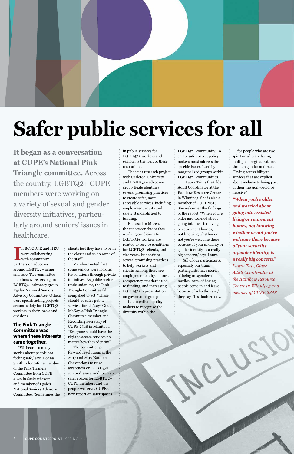

# **Safer public services for all**

**I** partners on advocacy n BC, CUPE and HEU were collaborating with community around LGBTQ2+ aging and care. Two committee members were serving on LGBTQ2+ advocacy group Egale's National Seniors Advisory Committee. Others were spearheading projects around safety for LGBTQ2+ workers in their locals and divisions.

**The Pink Triangle Committee was** 

#### **where these interests came together.**

"We heard so many stories about people not feeling safe," says Donna Smith, a long-time member of the Pink Triangle Committee from CUPE 4828 in Saskatchewan and member of Egale's National Seniors Advisory Committee. "Sometimes the clients feel they have to be in the closet and so do some of the staff."

Members noted that some seniors were looking for solutions through private initiatives. As public sector trade unionists, the Pink Triangle Committee felt compelled to act. "These should be safer public services for all," says Gina McKay, a Pink Triangle Committee member and Recording Secretary of CUPE 2348 in Manitoba. "Everyone should have the

right to access services no matter how they identify." The committee put forward resolutions at the 2017 and 2019 National

Conventions to raise awareness on LGBTQ2+ seniors' issues, and to create safer spaces for LGBTQ2+ CUPE members and the people we serve. CUPE's

new report on safer spaces

in public services for LGBTQ2+ workers and seniors, is the fruit of these resolutions.

The joint research project with Carleton University and LGBTQ2+ advocacy group Egale identifies several promising practices to create safer, more accessible services, including employment equity and safety standards tied to funding.

Released in March, the report concludes that working conditions for LGBTQ2+ workers are related to service conditions for LGBTQ2+ clients, and vice versa. It identifies several promising practices to help workers and clients. Among these are employment equity, cultural competency standards tied to funding, and increasing LGBTQ2+ representation on governance groups.

It also calls on policy makers to recognize the diversity within the

LGBTQ2+ community. To create safe spaces, policy makers must address the specific issues faced by marginalized groups within LGBTQ2+ communities.

 Laura Tait is the Older Adult Coordinator at the Rainbow Resource Centre in Winnipeg. She is also a member of CUPE 2348. She welcomes the findings of the report. "When you're older and worried about going into assisted living or retirement homes, not knowing whether or not you're welcome there because of your sexuality or gender identity, is a really big concern," says Laura.

"All of our participants, especially our trans participants, have stories of being misgendered in medical care, of having people come in and leave because of who they are," they say. "It's doubled down

for people who are two spirit or who are facing multiple marginalizations through gender and race. Having accessibility to services that are explicit about inclusivity being part of their mission would be massive."

**"When you're older and worried about going into assisted living or retirement homes, not knowing whether or not you're welcome there because of your sexuality orgender identity, is a really big concern,"**  *Laura Tait, Older Adult Coordinator at the Rainbow Resource Centre in Winnipeg and member of CUPE 2348* 

**It began as a conversation at CUPE's National Pink Triangle committee.** Across the country, LGBTQ2+ CUPE members were working on a variety of sexual and gender diversity initiatives, particularly around seniors' issues in healthcare.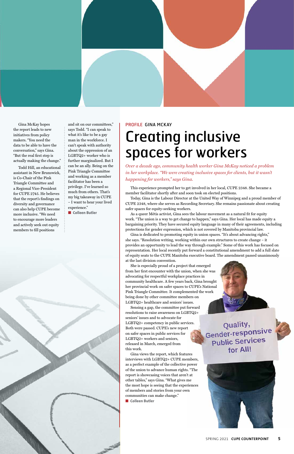

Gina McKay hopes the report leads to new initiatives from policy makers. "You need the data to be able to have the conversation," says Gina. "But the real first step is actually making the change."

and sit on our committees," says Todd. "I can speak to what it's like to be a gay man in the workforce. I can't speak with authority about the oppression of an LGBTQ2+ worker who is further marginalized. But I can be an ally. Being on the Pink Triangle Committee and working as a member facilitator has been a privilege. I've learned so much from others. That's my big takeaway in CUPE – I want to hear your lived experience." ■ **Colleen Butler** 

Todd Hill, an educational assistant in New Brunswick, is Co-Chair of the Pink Triangle Committee and a Regional Vice-President for CUPE 2745. He believes that the report's findings on diversity and governance can also help CUPE become more inclusive. "We need to encourage more leaders and actively seek out equity members to fill positions

# PROFILE GINA MCKAY

### Creating inclusive spaces for workers

*Over a decade ago, community health worker Gina McKay noticed a problem in her workplace. "We were creating inclusive spaces for clients, but it wasn't happening for workers," says Gina.*

This experience prompted her to get involved in her local, CUPE 2348. She became a member facilitator shortly after and soon took on elected positions.

Sensing a gap, the committee put forward resolutions to raise awareness on LGBTQ2+ seniors' issues and to advocate for LGBTQ2+ competency in public services. Both were passed. CUPE's new report on safer spaces in public services for LGBTQ2+ workers and seniors, released in March, emerged from this work. Gina views the report, which features interviews with LGBTQ2+ CUPE members, as a perfect example of the collective power of the union to advance human rights. "The report is showcasing voices that aren't at other tables," says Gina. "What gives me the most hope is seeing that the experiences of members and stories from your own communities can make change." ■ **Colleen Butler** 

Quality, Gender-responsive



### **Public Services** for All!



Today, Gina is the Labour Director at the United Way of Winnipeg and a proud member of CUPE 2348, where she serves as Recording Secretary. She remains passionate about creating safer spaces for equity-seeking workers.

As a queer Métis activist, Gina sees the labour movement as a natural fit for equity work. "The union is a way to get change to happen," says Gina. Her local has made equity a bargaining priority. They have secured equity language in many of their agreements, including protections for gender expression, which is not covered by Manitoba provincial law.

Gina is dedicated to promoting equity in union spaces. "It's about advancing rights," she says. "Resolution writing, working within our own structures to create change – it provides an opportunity to lead the way through example." Some of this work has focused on representation. Her local recently put forward a constitutional amendment to add a full slate of equity seats to the CUPE Manitoba executive board. The amendment passed unanimously at the last division convention.

She is especially proud of a project that emerged from her first encounter with the union, when she was advocating for respectful workplace practices in community healthcare. A few years back, Gina brought her provincial work on safer spaces to CUPE's National Pink Triangle Committee. It complemented the work being done by other committee members on LGBTQ2+ healthcare and seniors' issues.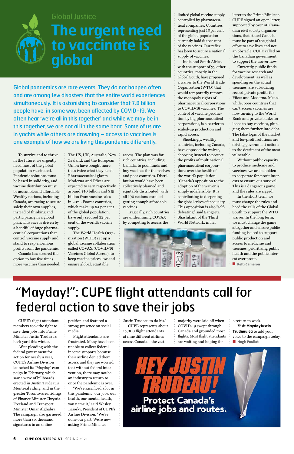CUPE's flight attendant members took the fight to save their jobs into Prime

Minister Justin Trudeau's back yard this winter.

After pleading with the federal government for action for nearly a year, CUPE's Airline Division launched its "Mayday" campaign in February, which saw a wave of billboards erected in Justin Trudeau's Montreal riding, and in the greater Toronto-area ridings of Finance Minister Chrystia Freeland and Transport Minister Omar Alghabra. The campaign also garnered more than six thousand signatures in an online

petition and featured a strong presence on social media.

Flight attendants are frustrated. Many have been unable to collect federal income supports because their airline denied them access, and they are worried that without federal intervention, there may not be an industry to return to once the pandemic is over. "We've sacrificed a lot in this pandemic: our jobs, our health, our mental health, you name it," said Wesley Lesosky, President of CUPE's Airline Division. "We've done our part. We're now asking Prime Minister

Justin Trudeau to do his." CUPE represents about 15,000 flight attendants

at nine different airlines across Canada – the vast majority were laid off when COVID-19 swept through Canada and grounded most

flights. Most flight attendants are waiting and hoping for

a return to work. Visit **MaydayJustin Trudeau.ca** to add your

voice to the campaign today. ■ **Hugh Pouliot**



**6 CUPE COUNTERPOINT** SPRING 2021

To survive and to thrive in the future, we urgently need most of the global population vaccinated. Pandemic solutions must be based in solidarity, and vaccine distribution must be accessible and affordable. Wealthy nations, including Canada, are racing to secure solely their own supplies, instead of thinking and participating in a global plan. This race is driven by a handful of huge pharmaceutical corporations that control vaccine supply and stand to reap enormous profits from the pandemic.

Canada has secured the option to buy five times more vaccines than needed.

The US, UK, Australia, New Zealand, and the European Union have bought more than twice what they need. Pharmaceutical giants Moderna and Pfizer are expected to earn respectively around \$10 billion and \$19 billion from vaccine sales in 2021. Poorer countries, which make up 84 per cent of the global population, have only secured 32 per cent of the world's vaccine supply.

The World Health Organization (WHO) set up a global vaccine collaboration called COVAX (COVID-19 Vaccines Global Access), to keep vaccine prices low and ensure global, equitable

access. The plan was for rich countries, including Canada, to pool funds and buy vaccines for themselves and poor countries. Distribution would have been collectively planned and equitably distributed, with all 190 nations enrolled getting enough affordable vaccines.

Tragically, rich countries are undermining COVAX by competing to access the

limited global vaccine supply controlled by pharmaceutical companies. Countries representing just 16 per cent of the global population currently hold 60 per cent of the vaccines. Our reflex has been to secure a national supply of vaccines.

India and South Africa, with the support of 99 other countries, mostly in the Global South, have proposed a waiver to the World Trade Organization (WTO) that would temporarily remove the monopoly rights of pharmaceutical corporations to COVID-19 vaccines. The control of vaccine production by big pharmaceutical corporations, is a barrier to scaled-up production and rapid access.

Shockingly, wealthy countries, including Canada, have opposed the waiver, choosing instead to protect the profits of multinational pharmaceutical corporations over the health of the world's population. "Canada's opposition to the adoption of the waiver is simply indefensible. It is contributing to deepening the global crises of inequality. This opposition is also "selfdefeating," said Sangeeta Shashikant of the Third World Network, in her



letter to the Prime Minister. CUPE signed an open letter, supported by over 40 Canadian civil society organizations, that stated Canada must be part of the global effort to save lives and not an obstacle. CUPE called on the Canadian government to support the waiver now.

Currently, public funds for vaccine research and development, as well as spending on the actual vaccines, are subsidizing record private profits for Pfizer and Moderna. Meanwhile, poor countries that can't access vaccines are now turning to the World Bank and private banks for loans to buy vaccines, plunging them further into debt. The false logic of the market and for-profit solutions are driving government actions to the detriment of the most vulnerable.

Without public capacity to produce medicine and vaccines, we are beholden to corporate for-profit interests to ensure our survival. This is a dangerous game, and the rules are rigged.

In the short term, we must change the rules and heed the calls of the Global South to support the WTO waiver. In the long term, we must change the game altogether and ensure public funding is used to support public production and access to medicine and vaccines, prioritizing public health and the public interest over profit.

■ **Kelti Cameron** 

### "Mayday!": CUPE flight attendants call for federal action to save their jobs

Global pandemics are rare events. They do not happen often and are among few disasters that the entire world experiences simultaneously. It is astonishing to consider that 7.8 billion people have, in some way, been affected by COVID-19. We often hear 'we're all in this together' and while we may be in this together, we are not all in the same boat. Some of us are in yachts while others are drowning – access to vaccines is one example of how we are living this pandemic differently.



### Global Justice

### **The urgent need to vaccinate is global**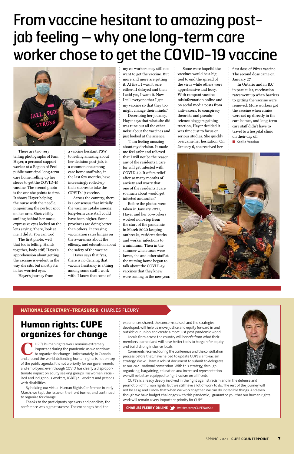#### **NATIONAL SECRETARY-TREASURER** CHARLES FLEURY

experiences shared, the concerns raised, and the strategies developed, will help us move justice and equity forward in and outside our union and create a more just post-pandemic world. Locals from across the country will benefit from what their members learned and will have better tools to bargain for equity and build strong inclusive locals. Comments received during the conference and the consultation process before that, have helped to update CUPE's anti-racism strategy. We will have a robust document to submit to delegates at our 2021 national convention. With this strategy, through organizing, bargaining, education and increased representation, we will be better equipped to fight racism on all fronts.



UPE's human rights work remains extremely<br>important during the pandemic, as we contir<br>to organize for change. Unfortunately, in Can<br>and around the world, defending human rights is not important during the pandemic, as we continue to organize for change. Unfortunately, in Canada and around the world, defending human rights is not on top of the public agenda. It is not a priority for our governments and employers, even though COVID has clearly a disproportionate impact on equity seeking groups like women, racialized and Indigenous workers, LGBTQ2+ workers and persons with disabilities.

CUPE's is already deeply involved in the fight against racism and in the defense and promotion of human rights. But we still have a lot of work to do. The rest of the journey will not be easy, and I know that when we work together, we can do incredible things. And even though we have budget challenges with this pandemic, I guarantee you that our human rights work will remain a very important priority for CUPE.

**CHARLES FLEURY ONLINE** twitter.com/CUPENatSec

### **Human rights: CUPE**

### **organizes for change**

By holding our virtual Human Rights Conference in early March, we kept the issue on the front burner, and continued to organize for change.

Thanks to the participants, speakers and panelists, the conference was a great success. The exchanges held, the

There are two very telling photographs of Pam Hayer, a personal support worker at a Region of Peel public municipal long-term care home, rolling up her sleeve to get the COVID-19 vaccine. The second photo is the one she points to first. It shows Hayer helping the nurse with the needle, pinpointing the perfect spot on her arm. She's visibly smiling behind her mask, expressive eyes locked on the lens saying, 'there, look at me, I did it. You can too.'

The first photo, well that too is telling. Hands together, body stiff, Hayer's apprehension about getting the vaccine is evident in the way she sits, but mostly it's in her worried eyes.

Hayer's journey from

a vaccine hesitant PSW to feeling amazing about her decision post-jab, is a common one among care home staff who, in the last few months, have increasingly rolled-up their sleeves to take the COVID-19 vaccine.

Across the country, there is a consensus that initially the vaccine uptake among long-term care staff could have been higher. Some provinces are doing better than others. Increasing vaccination rates hinges on the awareness about the efficacy, and education about the safety of the vaccine.

Hayer says that "yes, there is no denying that vaccine hesitancy is a thing among some staff I work with. I know that some of

my co-workers may still not want to get the vaccine. But more and more are getting it. At first, I wasn't sure either…I delayed and then I said yes, I want it. Now I tell everyone that I got my vaccine so that they too might change their minds."

Describing her journey, Hayer says that what she did was tune out all the other noise about the vaccines and just looked at the science.

"I am feeling amazing about my decision. It made me feel safer and relieved that I will not be the reason any of the residents I care for will get infected with COVID-19. It offers relief after so many months of anxiety and worry that one of the residents I care so much about would get infected and suffer."

Before the photos were taken in January 2021, Hayer and her co-workers worked non-stop from the start of the pandemic in March 2020 keeping outbreaks, resident deaths and worker infections to a minimum. Then in the summer when cases were lower, she and other staff at the nursing home began to talk about the COVID-19 vaccines that they knew were coming in the new year.

Some were hopeful the vaccines would be a big tool to end the spread of the virus while others were apprehensive and leery. With rampant vaccine misinformation online and on social media posts from anti-vaxers, to conspiracy theorists and pseudoscience bloggers gaining traction, Hayer decided it was time just to focus on serious studies. She quickly overcame her hesitation. On January 6, she received her

first dose of Pfizer vaccine. The second dose came on January 27.

In Ontario and in B.C. in particular, vaccination rates went up when barriers to getting the vaccine were removed. More workers got the vaccine when clinics were set up directly in the care homes, and long-term care staff didn't have to travel to a hospital clinic on their day off.

■ **Stella Yeadon** 



## From vaccine hesitant to amazing postjab feeling – why one long-term care worker chose to get the COVID-19 vaccine